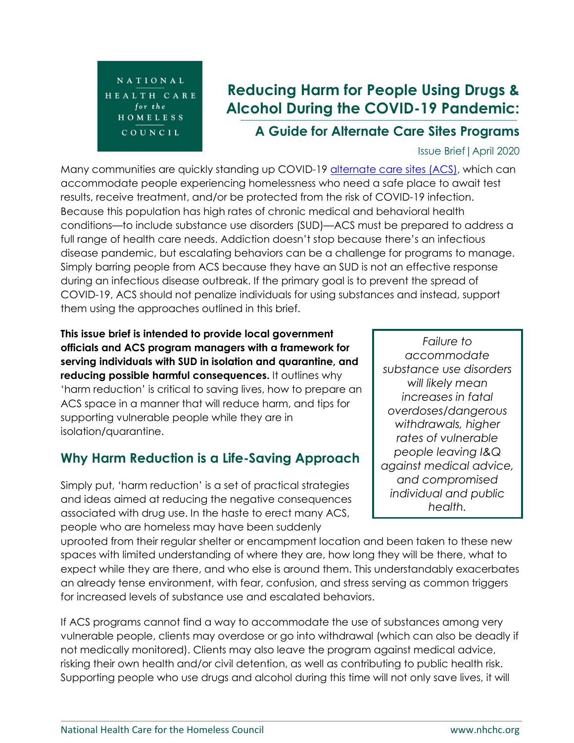

# **Reducing Harm for People Using Drugs & Alcohol During the COVID-19 Pandemic:**

**A Guide for Alternate Care Sites Programs**

#### Issue Brief|April 2020

Many communities are quickly standing up COVID-19 [alternate care sites \(ACS\),](https://www.cdc.gov/coronavirus/2019-ncov/hcp/alternative-care-sites.html) which can accommodate people experiencing homelessness who need a safe place to await test results, receive treatment, and/or be protected from the risk of COVID-19 infection. Because this population has high rates of chronic medical and behavioral health conditions—to include substance use disorders (SUD)—ACS must be prepared to address a full range of health care needs. Addiction doesn't stop because there's an infectious disease pandemic, but escalating behaviors can be a challenge for programs to manage. Simply barring people from ACS because they have an SUD is not an effective response during an infectious disease outbreak. If the primary goal is to prevent the spread of COVID-19, ACS should not penalize individuals for using substances and instead, support them using the approaches outlined in this brief.

**This issue brief is intended to provide local government officials and ACS program managers with a framework for serving individuals with SUD in isolation and quarantine, and reducing possible harmful consequences.** It outlines why 'harm reduction' is critical to saving lives, how to prepare an ACS space in a manner that will reduce harm, and tips for supporting vulnerable people while they are in isolation/quarantine.

# **Why Harm Reduction is a Life-Saving Approach**

Simply put, 'harm reduction' is a set of practical strategies and ideas aimed at reducing the negative consequences associated with drug use. In the haste to erect many ACS, people who are homeless may have been suddenly

*Failure to accommodate substance use disorders will likely mean increases in fatal overdoses/dangerous withdrawals, higher rates of vulnerable people leaving I&Q against medical advice, and compromised individual and public health.*

uprooted from their regular shelter or encampment location and been taken to these new spaces with limited understanding of where they are, how long they will be there, what to expect while they are there, and who else is around them. This understandably exacerbates an already tense environment, with fear, confusion, and stress serving as common triggers for increased levels of substance use and escalated behaviors.

If ACS programs cannot find a way to accommodate the use of substances among very vulnerable people, clients may overdose or go into withdrawal (which can also be deadly if not medically monitored). Clients may also leave the program against medical advice, risking their own health and/or civil detention, as well as contributing to public health risk. Supporting people who use drugs and alcohol during this time will not only save lives, it will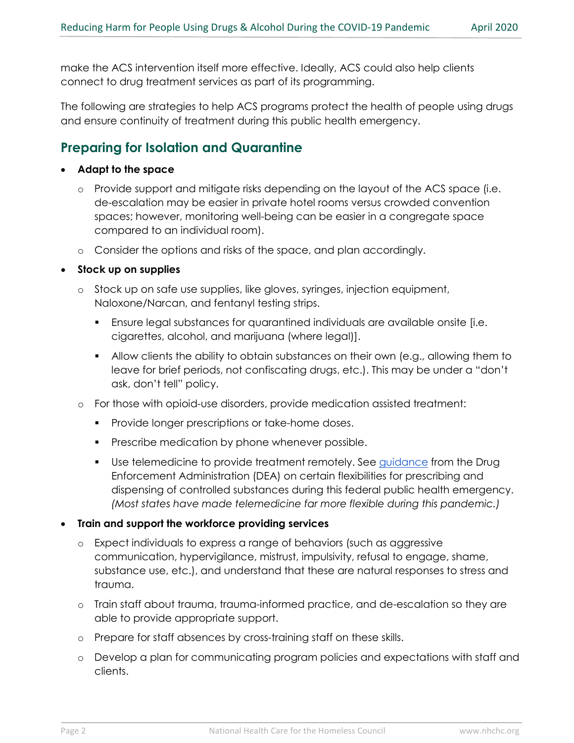make the ACS intervention itself more effective. Ideally, ACS could also help clients connect to drug treatment services as part of its programming.

The following are strategies to help ACS programs protect the health of people using drugs and ensure continuity of treatment during this public health emergency.

## **Preparing for Isolation and Quarantine**

#### • **Adapt to the space**

- o Provide support and mitigate risks depending on the layout of the ACS space (i.e. de-escalation may be easier in private hotel rooms versus crowded convention spaces; however, monitoring well-being can be easier in a congregate space compared to an individual room).
- o Consider the options and risks of the space, and plan accordingly.

#### • **Stock up on supplies**

- o Stock up on safe use supplies, like gloves, syringes, injection equipment, Naloxone/Narcan, and fentanyl testing strips.
	- Ensure legal substances for quarantined individuals are available onsite [i.e. cigarettes, alcohol, and marijuana (where legal)].
	- Allow clients the ability to obtain substances on their own (e.g., allowing them to leave for brief periods, not confiscating drugs, etc.). This may be under a "don't ask, don't tell" policy.
- o For those with opioid-use disorders, provide medication assisted treatment:
	- **Provide longer prescriptions or take-home doses.**
	- **Prescribe medication by phone whenever possible.**
	- Use telemedicine to provide treatment remotely. See [guidance](https://www.samhsa.gov/sites/default/files/dea-samhsa-buprenorphine-telemedicine.pdf) from the Drug Enforcement Administration (DEA) on certain flexibilities for prescribing and dispensing of controlled substances during this federal public health emergency. *(Most states have made telemedicine far more flexible during this pandemic.)*

#### • **Train and support the workforce providing services**

- o Expect individuals to express a range of behaviors (such as aggressive communication, hypervigilance, mistrust, impulsivity, refusal to engage, shame, substance use, etc.), and understand that these are natural responses to stress and trauma.
- o Train staff about trauma, trauma-informed practice, and de-escalation so they are able to provide appropriate support.
- o Prepare for staff absences by cross-training staff on these skills.
- o Develop a plan for communicating program policies and expectations with staff and clients.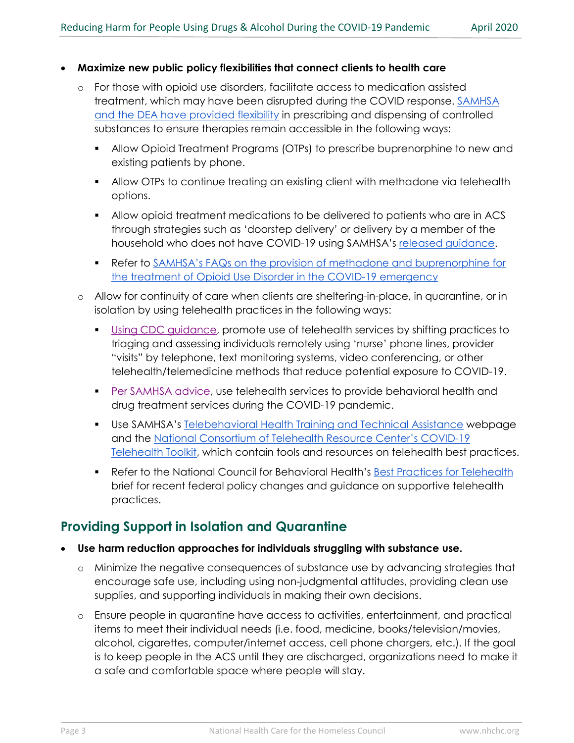#### • **Maximize new public policy flexibilities that connect clients to health care**

- o For those with opioid use disorders, facilitate access to medication assisted treatment, which may have been disrupted during the COVID response. [SAMHSA](https://www.samhsa.gov/sites/default/files/dea-samhsa-buprenorphine-telemedicine.pdf) [and the DEA have provided flexibility](https://www.samhsa.gov/sites/default/files/dea-samhsa-buprenorphine-telemedicine.pdf) in prescribing and dispensing of controlled substances to ensure therapies remain accessible in the following ways:
	- Allow Opioid Treatment Programs (OTPs) to prescribe buprenorphine to new and existing patients by phone.
	- Allow OTPs to continue treating an existing client with methadone via telehealth options.
	- Allow opioid treatment medications to be delivered to patients who are in ACS through strategies such as 'doorstep delivery' or delivery by a member of the household who does not have COVID-19 using SAMHSA's [released guidance.](https://www.samhsa.gov/sites/default/files/otp-covid-implementation-guidance.pdf)
	- **Refer to SAMHSA's FAQs on the provision of methadone and buprenorphine for** [the treatment of Opioid Use Disorder in the COVID-19 emergency](https://www.samhsa.gov/sites/default/files/faqs-for-oud-prescribing-and-dispensing.pdf)
- Allow for continuity of care when clients are sheltering-in-place, in quarantine, or in isolation by using telehealth practices in the following ways:
	- [Using CDC guidance,](https://www.cdc.gov/coronavirus/2019-ncov/hcp/guidance-hcf.html) promote use of telehealth services by shifting practices to triaging and assessing individuals remotely using 'nurse' phone lines, provider "visits" by telephone, text monitoring systems, video conferencing, or other telehealth/telemedicine methods that reduce potential exposure to COVID-19.
	- **[Per SAMHSA advice,](https://www.samhsa.gov/sites/default/files/considerations-care-treatment-mental-substance-use-disorders-covid19.pdf) use telehealth services to provide behavioral health and** drug treatment services during the COVID-19 pandemic.
	- Use SAMHSA's [Telebehavioral Health Training and Technical Assistance](https://www.integration.samhsa.gov/operations-administration/telebehavioral-health#5) webpage and the [National Consortium of Telehealth Resource Center's COVID-19](https://www.telehealthresourcecenter.org/wp-content/uploads/2020/03/Telehealth-and-COVID-19-FINAL.pdf)  [Telehealth Toolkit,](https://www.telehealthresourcecenter.org/wp-content/uploads/2020/03/Telehealth-and-COVID-19-FINAL.pdf) which contain tools and resources on telehealth best practices.
	- Refer to the National Council for Behavioral Health's [Best Practices for Telehealth](https://www.thenationalcouncil.org/wp-content/uploads/2020/03/Telehealth_Best_Practices.pdf?daf=375ateTbd56) brief for recent federal policy changes and guidance on supportive telehealth practices.

### **Providing Support in Isolation and Quarantine**

- **Use harm reduction approaches for individuals struggling with substance use.** 
	- o Minimize the negative consequences of substance use by advancing strategies that encourage safe use, including using non-judgmental attitudes, providing clean use supplies, and supporting individuals in making their own decisions.
	- o Ensure people in quarantine have access to activities, entertainment, and practical items to meet their individual needs (i.e. food, medicine, books/television/movies, alcohol, cigarettes, computer/internet access, cell phone chargers, etc.). If the goal is to keep people in the ACS until they are discharged, organizations need to make it a safe and comfortable space where people will stay.